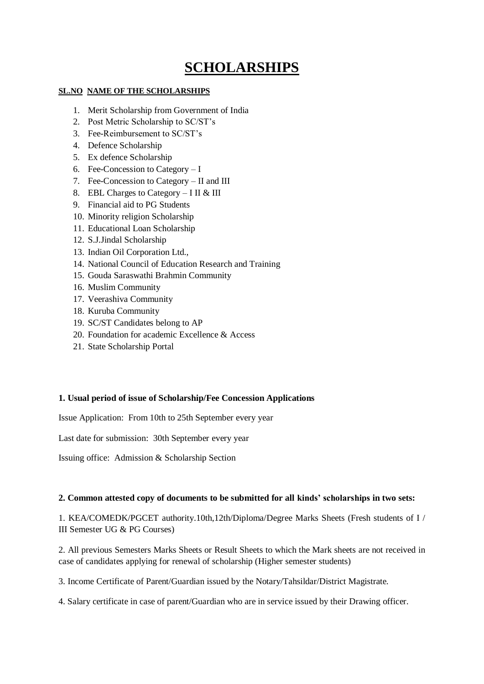# **SCHOLARSHIPS**

### **SL.NO NAME OF THE SCHOLARSHIPS**

- 1. Merit Scholarship from Government of India
- 2. Post Metric Scholarship to SC/ST's
- 3. Fee-Reimbursement to SC/ST's
- 4. Defence Scholarship
- 5. Ex defence Scholarship
- 6. Fee-Concession to Category I
- 7. Fee-Concession to Category II and III
- 8. EBL Charges to Category I II & III
- 9. Financial aid to PG Students
- 10. Minority religion Scholarship
- 11. Educational Loan Scholarship
- 12. S.J.Jindal Scholarship
- 13. Indian Oil Corporation Ltd.,
- 14. National Council of Education Research and Training
- 15. Gouda Saraswathi Brahmin Community
- 16. Muslim Community
- 17. Veerashiva Community
- 18. Kuruba Community
- 19. SC/ST Candidates belong to AP
- 20. Foundation for academic Excellence & Access
- 21. State Scholarship Portal

#### **1. Usual period of issue of Scholarship/Fee Concession Applications**

Issue Application: From 10th to 25th September every year

Last date for submission: 30th September every year

Issuing office: Admission & Scholarship Section

## **2. Common attested copy of documents to be submitted for all kinds' scholarships in two sets:**

1. KEA/COMEDK/PGCET authority.10th,12th/Diploma/Degree Marks Sheets (Fresh students of I / III Semester UG & PG Courses)

2. All previous Semesters Marks Sheets or Result Sheets to which the Mark sheets are not received in case of candidates applying for renewal of scholarship (Higher semester students)

3. Income Certificate of Parent/Guardian issued by the Notary/Tahsildar/District Magistrate.

4. Salary certificate in case of parent/Guardian who are in service issued by their Drawing officer.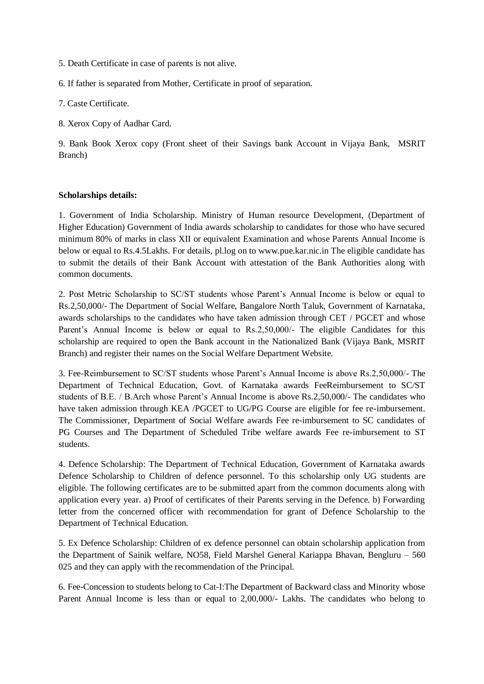5. Death Certificate in case of parents is not alive.

6. If father is separated from Mother, Certificate in proof of separation.

7. Caste Certificate.

8. Xerox Copy of Aadhar Card.

9. Bank Book Xerox copy (Front sheet of their Savings bank Account in Vijaya Bank, MSRIT Branch)

#### **Scholarships details:**

1. Government of India Scholarship. Ministry of Human resource Development, (Department of Higher Education) Government of India awards scholarship to candidates for those who have secured minimum 80% of marks in class XII or equivalent Examination and whose Parents Annual Income is below or equal to Rs.4.5Lakhs. For details, pl.log on to www.pue.kar.nic.in The eligible candidate has to submit the details of their Bank Account with attestation of the Bank Authorities along with common documents.

2. Post Metric Scholarship to SC/ST students whose Parent's Annual Income is below or equal to Rs.2,50,000/- The Department of Social Welfare, Bangalore North Taluk, Government of Karnataka, awards scholarships to the candidates who have taken admission through CET / PGCET and whose Parent's Annual Income is below or equal to Rs.2,50,000/- The eligible Candidates for this scholarship are required to open the Bank account in the Nationalized Bank (Vijaya Bank, MSRIT Branch) and register their names on the Social Welfare Department Website.

3. Fee-Reimbursement to SC/ST students whose Parent's Annual Income is above Rs.2,50,000/- The Department of Technical Education, Govt. of Karnataka awards FeeReimbursement to SC/ST students of B.E. / B.Arch whose Parent's Annual Income is above Rs.2,50,000/- The candidates who have taken admission through KEA /PGCET to UG/PG Course are eligible for fee re-imbursement. The Commissioner, Department of Social Welfare awards Fee re-imbursement to SC candidates of PG Courses and The Department of Scheduled Tribe welfare awards Fee re-imbursement to ST students.

4. Defence Scholarship: The Department of Technical Education, Government of Karnataka awards Defence Scholarship to Children of defence personnel. To this scholarship only UG students are eligible. The following certificates are to be submitted apart from the common documents along with application every year. a) Proof of certificates of their Parents serving in the Defence. b) Forwarding letter from the concerned officer with recommendation for grant of Defence Scholarship to the Department of Technical Education.

5. Ex Defence Scholarship: Children of ex defence personnel can obtain scholarship application from the Department of Sainik welfare, NO58, Field Marshel General Kariappa Bhavan, Bengluru – 560 025 and they can apply with the recommendation of the Principal.

6. Fee-Concession to students belong to Cat-I:The Department of Backward class and Minority whose Parent Annual Income is less than or equal to 2,00,000/- Lakhs. The candidates who belong to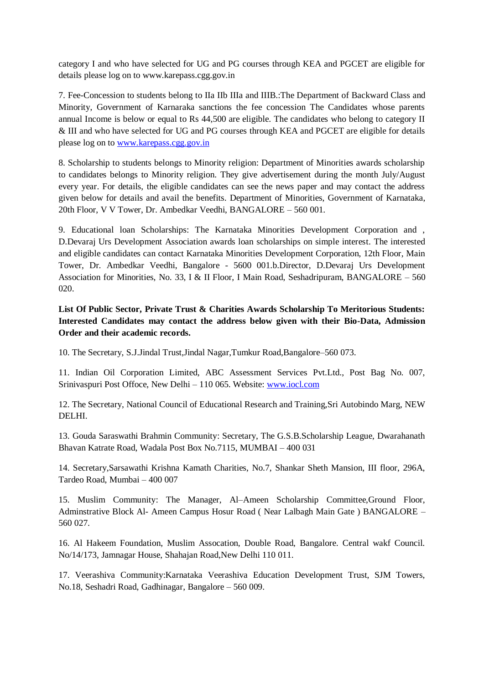category I and who have selected for UG and PG courses through KEA and PGCET are eligible for details please log on to www.karepass.cgg.gov.in

7. Fee-Concession to students belong to IIa IIb IIIa and IIIB.:The Department of Backward Class and Minority, Government of Karnaraka sanctions the fee concession The Candidates whose parents annual Income is below or equal to Rs 44,500 are eligible. The candidates who belong to category II & III and who have selected for UG and PG courses through KEA and PGCET are eligible for details please log on to [www.karepass.cgg.gov.in](http://www.karepass.cgg.gov.in/)

8. Scholarship to students belongs to Minority religion: Department of Minorities awards scholarship to candidates belongs to Minority religion. They give advertisement during the month July/August every year. For details, the eligible candidates can see the news paper and may contact the address given below for details and avail the benefits. Department of Minorities, Government of Karnataka, 20th Floor, V V Tower, Dr. Ambedkar Veedhi, BANGALORE – 560 001.

9. Educational loan Scholarships: The Karnataka Minorities Development Corporation and , D.Devaraj Urs Development Association awards loan scholarships on simple interest. The interested and eligible candidates can contact Karnataka Minorities Development Corporation, 12th Floor, Main Tower, Dr. Ambedkar Veedhi, Bangalore - 5600 001.b.Director, D.Devaraj Urs Development Association for Minorities, No. 33, I & II Floor, I Main Road, Seshadripuram, BANGALORE – 560 020.

**List Of Public Sector, Private Trust & Charities Awards Scholarship To Meritorious Students: Interested Candidates may contact the address below given with their Bio-Data, Admission Order and their academic records.**

10. The Secretary, S.J.Jindal Trust,Jindal Nagar,Tumkur Road,Bangalore–560 073.

11. Indian Oil Corporation Limited, ABC Assessment Services Pvt.Ltd., Post Bag No. 007, Srinivaspuri Post Offoce, New Delhi – 110 065. Website: [www.iocl.com](http://www.iocl.com/)

12. The Secretary, National Council of Educational Research and Training,Sri Autobindo Marg, NEW DELHI.

13. Gouda Saraswathi Brahmin Community: Secretary, The G.S.B.Scholarship League, Dwarahanath Bhavan Katrate Road, Wadala Post Box No.7115, MUMBAI – 400 031

14. Secretary,Sarsawathi Krishna Kamath Charities, No.7, Shankar Sheth Mansion, III floor, 296A, Tardeo Road, Mumbai – 400 007

15. Muslim Community: The Manager, Al–Ameen Scholarship Committee,Ground Floor, Adminstrative Block Al- Ameen Campus Hosur Road ( Near Lalbagh Main Gate ) BANGALORE – 560 027.

16. Al Hakeem Foundation, Muslim Assocation, Double Road, Bangalore. Central wakf Council. No/14/173, Jamnagar House, Shahajan Road,New Delhi 110 011.

17. Veerashiva Community:Karnataka Veerashiva Education Development Trust, SJM Towers, No.18, Seshadri Road, Gadhinagar, Bangalore – 560 009.